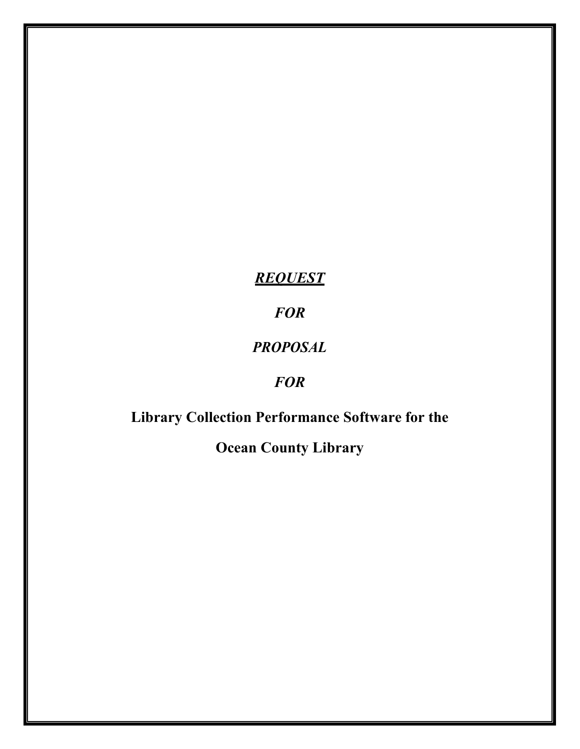*REQUEST* 

*FOR* 

## *PROPOSAL*

## *FOR*

# **Library Collection Performance Software for the**

**Ocean County Library**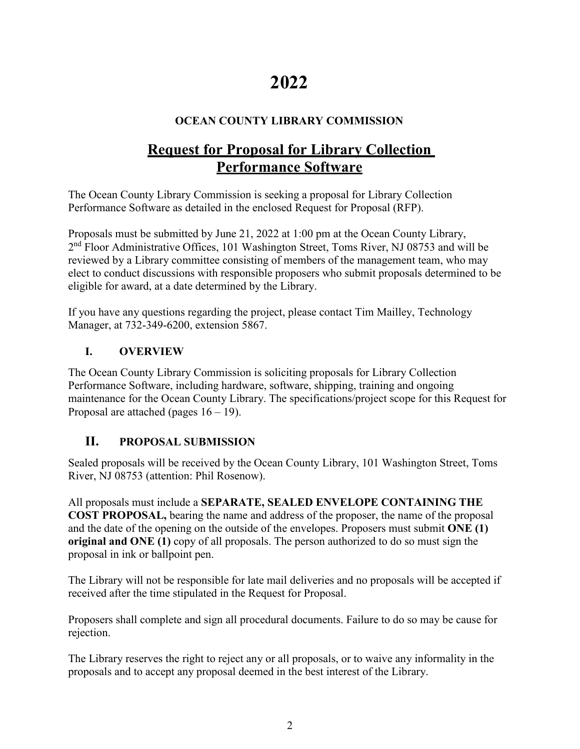# **2022**

## **OCEAN COUNTY LIBRARY COMMISSION**

## **Request for Proposal for Library Collection Performance Software**

The Ocean County Library Commission is seeking a proposal for Library Collection Performance Software as detailed in the enclosed Request for Proposal (RFP).

Proposals must be submitted by June 21, 2022 at 1:00 pm at the Ocean County Library, 2nd Floor Administrative Offices, 101 Washington Street, Toms River, NJ 08753 and will be reviewed by a Library committee consisting of members of the management team, who may elect to conduct discussions with responsible proposers who submit proposals determined to be eligible for award, at a date determined by the Library.

If you have any questions regarding the project, please contact Tim Mailley, Technology Manager, at 732-349-6200, extension 5867.

## **I. OVERVIEW**

The Ocean County Library Commission is soliciting proposals for Library Collection Performance Software, including hardware, software, shipping, training and ongoing maintenance for the Ocean County Library. The specifications/project scope for this Request for Proposal are attached (pages  $16 - 19$ ).

## **II. PROPOSAL SUBMISSION**

Sealed proposals will be received by the Ocean County Library, 101 Washington Street, Toms River, NJ 08753 (attention: Phil Rosenow).

All proposals must include a **SEPARATE, SEALED ENVELOPE CONTAINING THE COST PROPOSAL,** bearing the name and address of the proposer, the name of the proposal and the date of the opening on the outside of the envelopes. Proposers must submit **ONE (1) original and ONE (1)** copy of all proposals. The person authorized to do so must sign the proposal in ink or ballpoint pen.

The Library will not be responsible for late mail deliveries and no proposals will be accepted if received after the time stipulated in the Request for Proposal.

Proposers shall complete and sign all procedural documents. Failure to do so may be cause for rejection.

The Library reserves the right to reject any or all proposals, or to waive any informality in the proposals and to accept any proposal deemed in the best interest of the Library.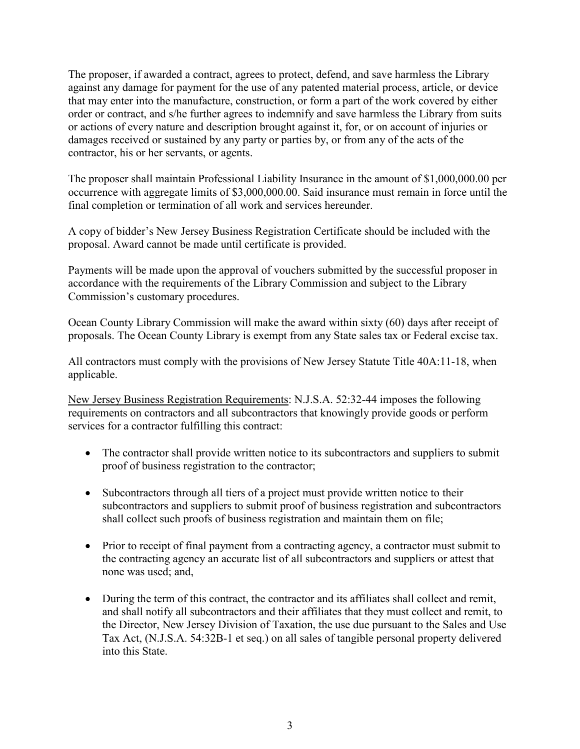The proposer, if awarded a contract, agrees to protect, defend, and save harmless the Library against any damage for payment for the use of any patented material process, article, or device that may enter into the manufacture, construction, or form a part of the work covered by either order or contract, and s/he further agrees to indemnify and save harmless the Library from suits or actions of every nature and description brought against it, for, or on account of injuries or damages received or sustained by any party or parties by, or from any of the acts of the contractor, his or her servants, or agents.

The proposer shall maintain Professional Liability Insurance in the amount of \$1,000,000.00 per occurrence with aggregate limits of \$3,000,000.00. Said insurance must remain in force until the final completion or termination of all work and services hereunder.

A copy of bidder's New Jersey Business Registration Certificate should be included with the proposal. Award cannot be made until certificate is provided.

Payments will be made upon the approval of vouchers submitted by the successful proposer in accordance with the requirements of the Library Commission and subject to the Library Commission's customary procedures.

Ocean County Library Commission will make the award within sixty (60) days after receipt of proposals. The Ocean County Library is exempt from any State sales tax or Federal excise tax.

All contractors must comply with the provisions of New Jersey Statute Title 40A:11-18, when applicable.

New Jersey Business Registration Requirements: N.J.S.A. 52:32-44 imposes the following requirements on contractors and all subcontractors that knowingly provide goods or perform services for a contractor fulfilling this contract:

- The contractor shall provide written notice to its subcontractors and suppliers to submit proof of business registration to the contractor;
- Subcontractors through all tiers of a project must provide written notice to their subcontractors and suppliers to submit proof of business registration and subcontractors shall collect such proofs of business registration and maintain them on file;
- Prior to receipt of final payment from a contracting agency, a contractor must submit to the contracting agency an accurate list of all subcontractors and suppliers or attest that none was used; and,
- During the term of this contract, the contractor and its affiliates shall collect and remit, and shall notify all subcontractors and their affiliates that they must collect and remit, to the Director, New Jersey Division of Taxation, the use due pursuant to the Sales and Use Tax Act, (N.J.S.A. 54:32B-1 et seq.) on all sales of tangible personal property delivered into this State.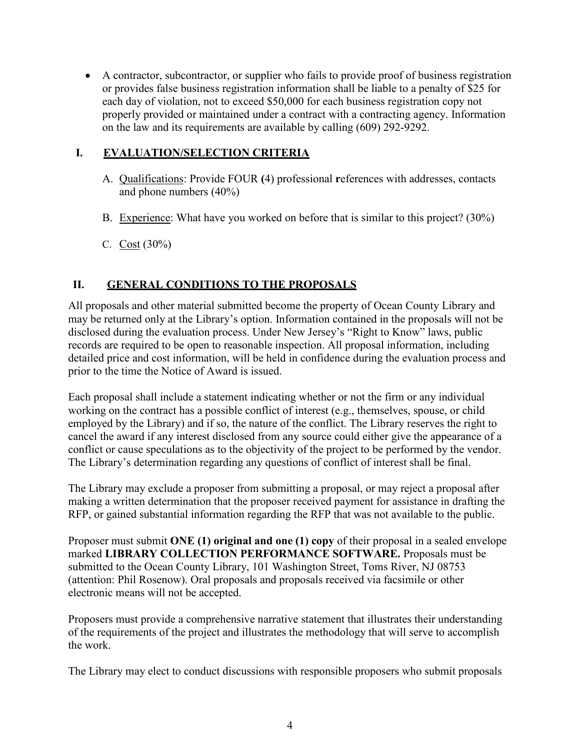• A contractor, subcontractor, or supplier who fails to provide proof of business registration or provides false business registration information shall be liable to a penalty of \$25 for each day of violation, not to exceed \$50,000 for each business registration copy not properly provided or maintained under a contract with a contracting agency. Information on the law and its requirements are available by calling (609) 292-9292.

## **I. EVALUATION/SELECTION CRITERIA**

- A. Qualifications: Provide FOUR **(**4) professional **r**eferences with addresses, contacts and phone numbers (40%)
- B. Experience: What have you worked on before that is similar to this project? (30%)
- C. Cost (30%)

## **II. GENERAL CONDITIONS TO THE PROPOSALS**

All proposals and other material submitted become the property of Ocean County Library and may be returned only at the Library's option. Information contained in the proposals will not be disclosed during the evaluation process. Under New Jersey's "Right to Know" laws, public records are required to be open to reasonable inspection. All proposal information, including detailed price and cost information, will be held in confidence during the evaluation process and prior to the time the Notice of Award is issued.

Each proposal shall include a statement indicating whether or not the firm or any individual working on the contract has a possible conflict of interest (e.g., themselves, spouse, or child employed by the Library) and if so, the nature of the conflict. The Library reserves the right to cancel the award if any interest disclosed from any source could either give the appearance of a conflict or cause speculations as to the objectivity of the project to be performed by the vendor. The Library's determination regarding any questions of conflict of interest shall be final.

The Library may exclude a proposer from submitting a proposal, or may reject a proposal after making a written determination that the proposer received payment for assistance in drafting the RFP, or gained substantial information regarding the RFP that was not available to the public.

Proposer must submit **ONE (1) original and one (1) copy** of their proposal in a sealed envelope marked **LIBRARY COLLECTION PERFORMANCE SOFTWARE.** Proposals must be submitted to the Ocean County Library, 101 Washington Street, Toms River, NJ 08753 (attention: Phil Rosenow). Oral proposals and proposals received via facsimile or other electronic means will not be accepted.

Proposers must provide a comprehensive narrative statement that illustrates their understanding of the requirements of the project and illustrates the methodology that will serve to accomplish the work.

The Library may elect to conduct discussions with responsible proposers who submit proposals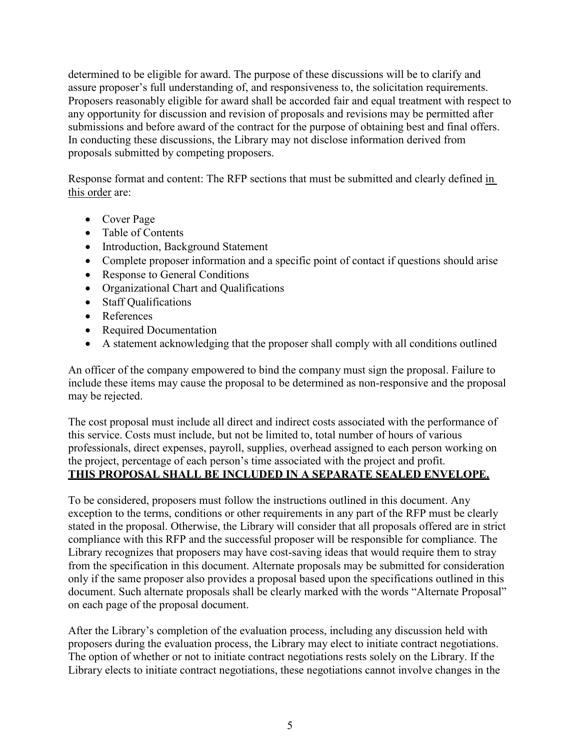determined to be eligible for award. The purpose of these discussions will be to clarify and assure proposer's full understanding of, and responsiveness to, the solicitation requirements. Proposers reasonably eligible for award shall be accorded fair and equal treatment with respect to any opportunity for discussion and revision of proposals and revisions may be permitted after submissions and before award of the contract for the purpose of obtaining best and final offers. In conducting these discussions, the Library may not disclose information derived from proposals submitted by competing proposers.

Response format and content: The RFP sections that must be submitted and clearly defined in this order are:

- Cover Page
- Table of Contents
- Introduction, Background Statement
- Complete proposer information and a specific point of contact if questions should arise
- Response to General Conditions
- Organizational Chart and Qualifications
- Staff Qualifications
- References
- Required Documentation
- A statement acknowledging that the proposer shall comply with all conditions outlined

An officer of the company empowered to bind the company must sign the proposal. Failure to include these items may cause the proposal to be determined as non-responsive and the proposal may be rejected.

The cost proposal must include all direct and indirect costs associated with the performance of this service. Costs must include, but not be limited to, total number of hours of various professionals, direct expenses, payroll, supplies, overhead assigned to each person working on the project, percentage of each person's time associated with the project and profit. **THIS PROPOSAL SHALL BE INCLUDED IN A SEPARATE SEALED ENVELOPE.**

To be considered, proposers must follow the instructions outlined in this document. Any exception to the terms, conditions or other requirements in any part of the RFP must be clearly stated in the proposal. Otherwise, the Library will consider that all proposals offered are in strict compliance with this RFP and the successful proposer will be responsible for compliance. The Library recognizes that proposers may have cost-saving ideas that would require them to stray from the specification in this document. Alternate proposals may be submitted for consideration only if the same proposer also provides a proposal based upon the specifications outlined in this document. Such alternate proposals shall be clearly marked with the words "Alternate Proposal" on each page of the proposal document.

After the Library's completion of the evaluation process, including any discussion held with proposers during the evaluation process, the Library may elect to initiate contract negotiations. The option of whether or not to initiate contract negotiations rests solely on the Library. If the Library elects to initiate contract negotiations, these negotiations cannot involve changes in the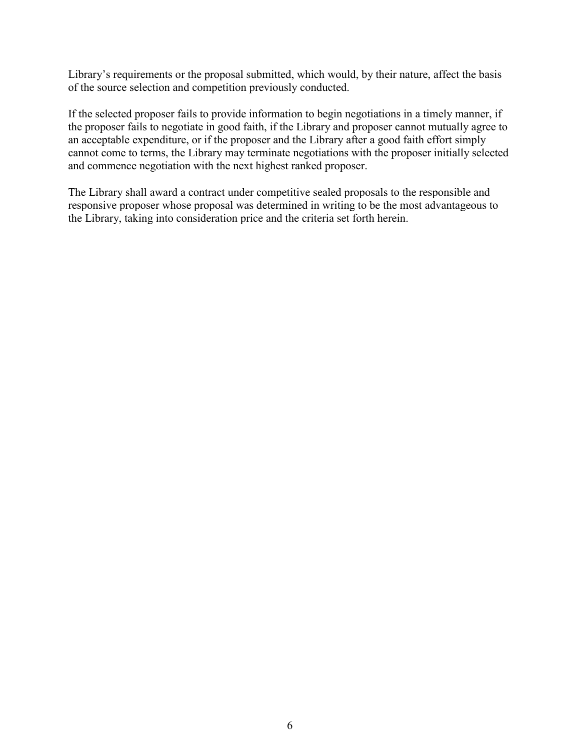Library's requirements or the proposal submitted, which would, by their nature, affect the basis of the source selection and competition previously conducted.

If the selected proposer fails to provide information to begin negotiations in a timely manner, if the proposer fails to negotiate in good faith, if the Library and proposer cannot mutually agree to an acceptable expenditure, or if the proposer and the Library after a good faith effort simply cannot come to terms, the Library may terminate negotiations with the proposer initially selected and commence negotiation with the next highest ranked proposer.

The Library shall award a contract under competitive sealed proposals to the responsible and responsive proposer whose proposal was determined in writing to be the most advantageous to the Library, taking into consideration price and the criteria set forth herein.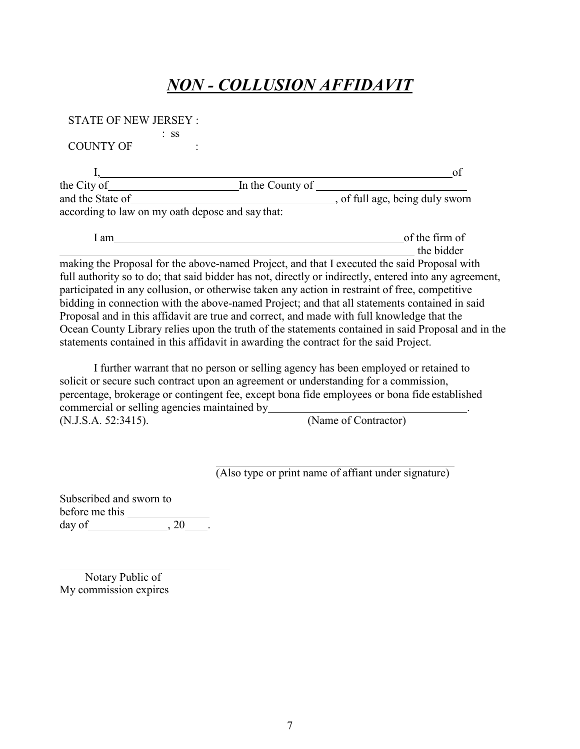## *NON - COLLUSION AFFIDAVIT*

| <b>STATE OF NEW JERSEY:</b> |                                                  |                                                                                                                                                                                             |
|-----------------------------|--------------------------------------------------|---------------------------------------------------------------------------------------------------------------------------------------------------------------------------------------------|
|                             | $:$ SS                                           |                                                                                                                                                                                             |
| <b>COUNTY OF</b>            |                                                  |                                                                                                                                                                                             |
|                             |                                                  | of                                                                                                                                                                                          |
|                             | the City of <u>Inthe County of</u>               |                                                                                                                                                                                             |
| and the State of            |                                                  | , of full age, being duly sworn                                                                                                                                                             |
|                             | according to law on my oath depose and say that: |                                                                                                                                                                                             |
| I am                        |                                                  | of the firm of                                                                                                                                                                              |
|                             |                                                  | the bidder                                                                                                                                                                                  |
|                             |                                                  | making the Proposal for the above-named Project, and that I executed the said Proposal with                                                                                                 |
|                             |                                                  | full authority so to do; that said bidder has not, directly or indirectly, entered into any agreement,                                                                                      |
|                             |                                                  | participated in any collusion, or otherwise taken any action in restraint of free, competitive                                                                                              |
|                             |                                                  | bidding in connection with the above-named Project; and that all statements contained in said                                                                                               |
|                             |                                                  | Proposal and in this affidavit are true and correct, and made with full knowledge that the                                                                                                  |
|                             |                                                  | Ocean County Library relies upon the truth of the statements contained in said Proposal and in the<br>statements contained in this affidavit in awarding the contract for the said Project. |
|                             |                                                  |                                                                                                                                                                                             |

I further warrant that no person or selling agency has been employed or retained to solicit or secure such contract upon an agreement or understanding for a commission, percentage, brokerage or contingent fee, except bona fide employees or bona fide established commercial or selling agencies maintained by . (Name of Contractor)

(Also type or print name of affiant under signature)

Subscribed and sworn to before me this day of  $\overline{\qquad \qquad$  , 20  $\overline{\qquad \qquad}$ .

Notary Public of My commission expires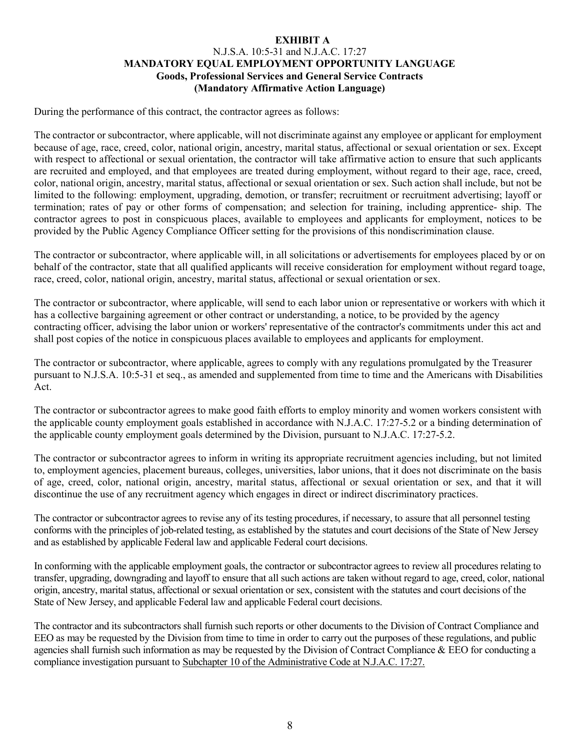#### **EXHIBIT A** N.J.S.A. 10:5-31 and N.J.A.C. 17:27 **MANDATORY EQUAL EMPLOYMENT OPPORTUNITY LANGUAGE Goods, Professional Services and General Service Contracts (Mandatory Affirmative Action Language)**

During the performance of this contract, the contractor agrees as follows:

The contractor or subcontractor, where applicable, will not discriminate against any employee or applicant for employment because of age, race, creed, color, national origin, ancestry, marital status, affectional or sexual orientation or sex. Except with respect to affectional or sexual orientation, the contractor will take affirmative action to ensure that such applicants are recruited and employed, and that employees are treated during employment, without regard to their age, race, creed, color, national origin, ancestry, marital status, affectional or sexual orientation or sex. Such action shall include, but not be limited to the following: employment, upgrading, demotion, or transfer; recruitment or recruitment advertising; layoff or termination; rates of pay or other forms of compensation; and selection for training, including apprentice- ship. The contractor agrees to post in conspicuous places, available to employees and applicants for employment, notices to be provided by the Public Agency Compliance Officer setting for the provisions of this nondiscrimination clause.

The contractor or subcontractor, where applicable will, in all solicitations or advertisements for employees placed by or on behalf of the contractor, state that all qualified applicants will receive consideration for employment without regard toage, race, creed, color, national origin, ancestry, marital status, affectional or sexual orientation orsex.

The contractor or subcontractor, where applicable, will send to each labor union or representative or workers with which it has a collective bargaining agreement or other contract or understanding, a notice, to be provided by the agency contracting officer, advising the labor union or workers' representative of the contractor's commitments under this act and shall post copies of the notice in conspicuous places available to employees and applicants for employment.

The contractor or subcontractor, where applicable, agrees to comply with any regulations promulgated by the Treasurer pursuant to N.J.S.A. 10:5-31 et seq., as amended and supplemented from time to time and the Americans with Disabilities Act.

The contractor or subcontractor agrees to make good faith efforts to employ minority and women workers consistent with the applicable county employment goals established in accordance with N.J.A.C. 17:27-5.2 or a binding determination of the applicable county employment goals determined by the Division, pursuant to N.J.A.C. 17:27-5.2.

The contractor or subcontractor agrees to inform in writing its appropriate recruitment agencies including, but not limited to, employment agencies, placement bureaus, colleges, universities, labor unions, that it does not discriminate on the basis of age, creed, color, national origin, ancestry, marital status, affectional or sexual orientation or sex, and that it will discontinue the use of any recruitment agency which engages in direct or indirect discriminatory practices.

The contractor or subcontractor agrees to revise any of its testing procedures, if necessary, to assure that all personnel testing conforms with the principles of job-related testing, as established by the statutes and court decisions of the State of New Jersey and as established by applicable Federal law and applicable Federal court decisions.

In conforming with the applicable employment goals, the contractor or subcontractor agrees to review all procedures relating to transfer, upgrading, downgrading and layoff to ensure that all such actions are taken without regard to age, creed, color, national origin, ancestry, marital status, affectional or sexual orientation or sex, consistent with the statutes and court decisions of the State of New Jersey, and applicable Federal law and applicable Federal court decisions.

The contractor and its subcontractors shall furnish such reports or other documents to the Division of Contract Compliance and EEO as may be requested by the Division from time to time in order to carry out the purposes of these regulations, and public agencies shall furnish such information as may be requested by the Division of Contract Compliance & EEO for conducting a compliance investigation pursuant to Subchapter 10 of the Administrative Code at N.J.A.C. 17:27.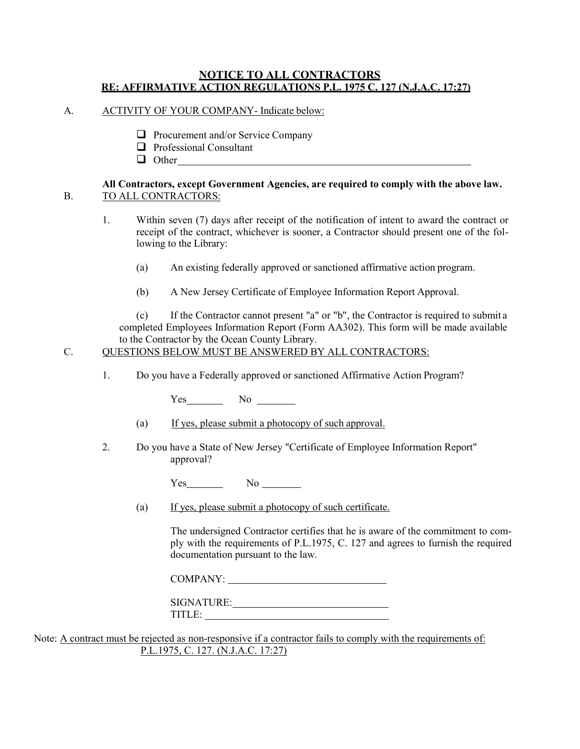#### **NOTICE TO ALL CONTRACTORS RE: AFFIRMATIVE ACTION REGULATIONS P.L. 1975 C. 127 (N.J.A.C. 17:27)**

- A. ACTIVITY OF YOUR COMPANY- Indicate below:
	- $\Box$  Procurement and/or Service Company
	- $\Box$  Professional Consultant
	- **Other** Other

#### **All Contractors, except Government Agencies, are required to comply with the above law.** B. TO ALL CONTRACTORS:

- 1. Within seven (7) days after receipt of the notification of intent to award the contract or receipt of the contract, whichever is sooner, a Contractor should present one of the following to the Library:
	- (a) An existing federally approved or sanctioned affirmative action program.
	- (b) A New Jersey Certificate of Employee Information Report Approval.

(c) If the Contractor cannot present "a" or "b", the Contractor is required to submit a completed Employees Information Report (Form AA302). This form will be made available to the Contractor by the Ocean County Library.

#### C. QUESTIONS BELOW MUST BE ANSWERED BY ALL CONTRACTORS:

1. Do you have a Federally approved or sanctioned Affirmative Action Program?

Yes No No

- (a) If yes, please submit a photocopy of such approval.
- 2. Do you have a State of New Jersey "Certificate of Employee Information Report" approval?

 $Yes$  No  $\qquad$ 

(a) If yes, please submit a photocopy of such certificate.

The undersigned Contractor certifies that he is aware of the commitment to comply with the requirements of P.L.1975, C. 127 and agrees to furnish the required documentation pursuant to the law.

COMPANY:

SIGNATURE: TITLE:

Note: A contract must be rejected as non-responsive if a contractor fails to comply with the requirements of: P.L.1975, C. 127. (N.J.A.C. 17:27)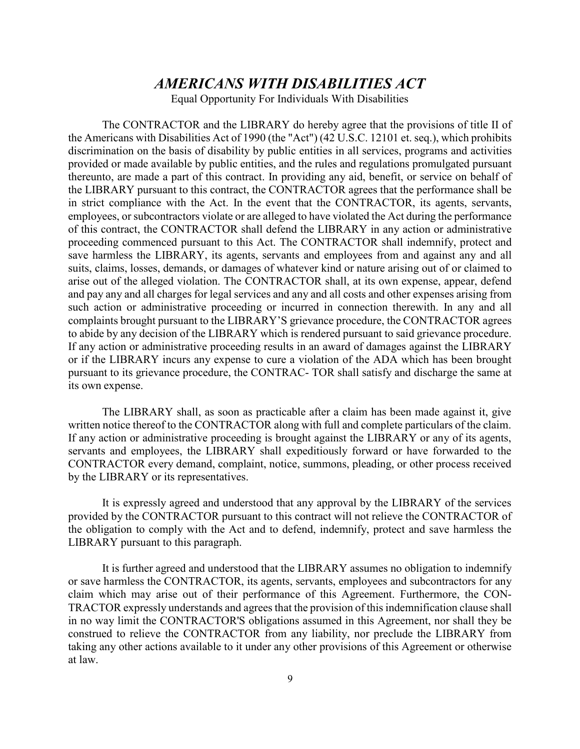## *AMERICANS WITH DISABILITIES ACT*

Equal Opportunity For Individuals With Disabilities

The CONTRACTOR and the LIBRARY do hereby agree that the provisions of title II of the Americans with Disabilities Act of 1990 (the "Act") (42 U.S.C. 12101 et. seq.), which prohibits discrimination on the basis of disability by public entities in all services, programs and activities provided or made available by public entities, and the rules and regulations promulgated pursuant thereunto, are made a part of this contract. In providing any aid, benefit, or service on behalf of the LIBRARY pursuant to this contract, the CONTRACTOR agrees that the performance shall be in strict compliance with the Act. In the event that the CONTRACTOR, its agents, servants, employees, or subcontractors violate or are alleged to have violated the Act during the performance of this contract, the CONTRACTOR shall defend the LIBRARY in any action or administrative proceeding commenced pursuant to this Act. The CONTRACTOR shall indemnify, protect and save harmless the LIBRARY, its agents, servants and employees from and against any and all suits, claims, losses, demands, or damages of whatever kind or nature arising out of or claimed to arise out of the alleged violation. The CONTRACTOR shall, at its own expense, appear, defend and pay any and all charges for legal services and any and all costs and other expenses arising from such action or administrative proceeding or incurred in connection therewith. In any and all complaints brought pursuant to the LIBRARY'S grievance procedure, the CONTRACTOR agrees to abide by any decision of the LIBRARY which is rendered pursuant to said grievance procedure. If any action or administrative proceeding results in an award of damages against the LIBRARY or if the LIBRARY incurs any expense to cure a violation of the ADA which has been brought pursuant to its grievance procedure, the CONTRAC- TOR shall satisfy and discharge the same at its own expense.

The LIBRARY shall, as soon as practicable after a claim has been made against it, give written notice thereof to the CONTRACTOR along with full and complete particulars of the claim. If any action or administrative proceeding is brought against the LIBRARY or any of its agents, servants and employees, the LIBRARY shall expeditiously forward or have forwarded to the CONTRACTOR every demand, complaint, notice, summons, pleading, or other process received by the LIBRARY or its representatives.

It is expressly agreed and understood that any approval by the LIBRARY of the services provided by the CONTRACTOR pursuant to this contract will not relieve the CONTRACTOR of the obligation to comply with the Act and to defend, indemnify, protect and save harmless the LIBRARY pursuant to this paragraph.

It is further agreed and understood that the LIBRARY assumes no obligation to indemnify or save harmless the CONTRACTOR, its agents, servants, employees and subcontractors for any claim which may arise out of their performance of this Agreement. Furthermore, the CON-TRACTOR expressly understands and agrees that the provision of this indemnification clause shall in no way limit the CONTRACTOR'S obligations assumed in this Agreement, nor shall they be construed to relieve the CONTRACTOR from any liability, nor preclude the LIBRARY from taking any other actions available to it under any other provisions of this Agreement or otherwise at law.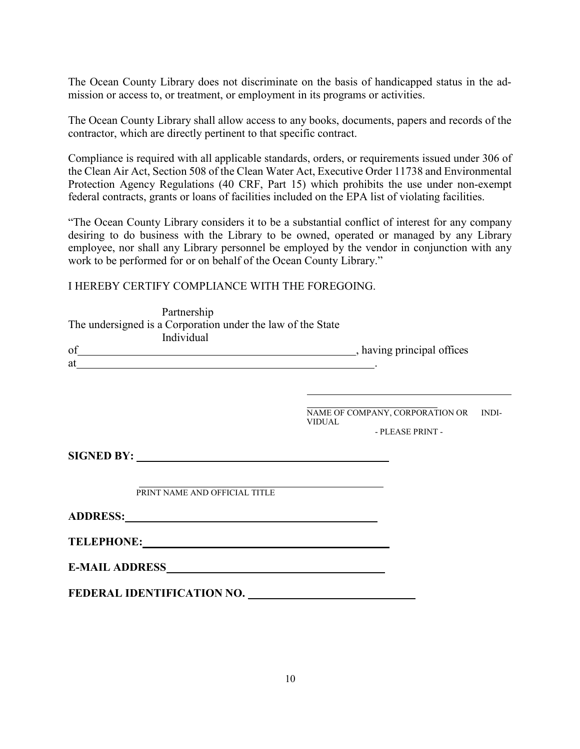The Ocean County Library does not discriminate on the basis of handicapped status in the admission or access to, or treatment, or employment in its programs or activities.

The Ocean County Library shall allow access to any books, documents, papers and records of the contractor, which are directly pertinent to that specific contract.

Compliance is required with all applicable standards, orders, or requirements issued under 306 of the Clean Air Act, Section 508 of the Clean Water Act, Executive Order 11738 and Environmental Protection Agency Regulations (40 CRF, Part 15) which prohibits the use under non-exempt federal contracts, grants or loans of facilities included on the EPA list of violating facilities.

"The Ocean County Library considers it to be a substantial conflict of interest for any company desiring to do business with the Library to be owned, operated or managed by any Library employee, nor shall any Library personnel be employed by the vendor in conjunction with any work to be performed for or on behalf of the Ocean County Library."

I HEREBY CERTIFY COMPLIANCE WITH THE FOREGOING.

| Partnership<br>The undersigned is a Corporation under the law of the State<br>Individual<br>of having principal offices |                                                                            |
|-------------------------------------------------------------------------------------------------------------------------|----------------------------------------------------------------------------|
| $at$ $\overline{\phantom{a}}$                                                                                           |                                                                            |
|                                                                                                                         | NAME OF COMPANY, CORPORATION OR INDI-<br><b>VIDUAL</b><br>- PLEASE PRINT - |
|                                                                                                                         |                                                                            |
| PRINT NAME AND OFFICIAL TITLE                                                                                           |                                                                            |
| ADDRESS: No. 1995                                                                                                       |                                                                            |
| TELEPHONE: TELEPHONE:                                                                                                   |                                                                            |
|                                                                                                                         |                                                                            |
| FEDERAL IDENTIFICATION NO.                                                                                              |                                                                            |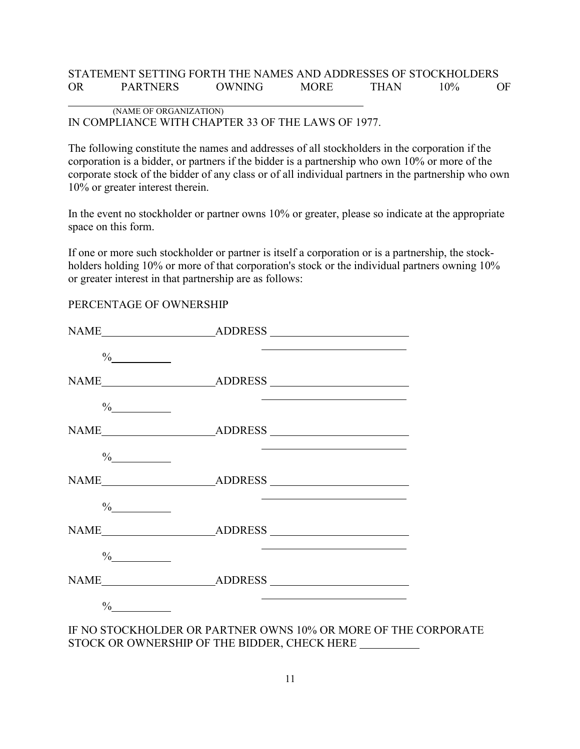#### STATEMENT SETTING FORTH THE NAMES AND ADDRESSES OF STOCKHOLDERS OR PARTNERS OWNING MORE THAN 10% OF

#### (NAME OF ORGANIZATION) IN COMPLIANCE WITH CHAPTER 33 OF THE LAWS OF 1977.

The following constitute the names and addresses of all stockholders in the corporation if the corporation is a bidder, or partners if the bidder is a partnership who own 10% or more of the corporate stock of the bidder of any class or of all individual partners in the partnership who own 10% or greater interest therein.

In the event no stockholder or partner owns 10% or greater, please so indicate at the appropriate space on this form.

If one or more such stockholder or partner is itself a corporation or is a partnership, the stockholders holding 10% or more of that corporation's stock or the individual partners owning 10% or greater interest in that partnership are as follows:

#### PERCENTAGE OF OWNERSHIP

| $\%$ |                                                                                                                       |  |
|------|-----------------------------------------------------------------------------------------------------------------------|--|
|      |                                                                                                                       |  |
| $\%$ | <u> 1989 - Andrea Barbara, poeta esperanto-poeta esperanto-poeta esperanto-poeta esperanto-poeta esperanto-poeta</u>  |  |
|      |                                                                                                                       |  |
| $\%$ | <u> 1989 - Johann Barn, amerikansk politiker (d. 1989)</u>                                                            |  |
|      |                                                                                                                       |  |
| $\%$ | <u> 1989 - Johann Harry Harry Harry Harry Harry Harry Harry Harry Harry Harry Harry Harry Harry Harry Harry Harry</u> |  |
|      |                                                                                                                       |  |
| $\%$ |                                                                                                                       |  |
|      |                                                                                                                       |  |
| $\%$ | the contract of the contract of the contract of the contract of the contract of the contract of                       |  |
|      | IE NO STOCKHOI DED OD DAPTNED OWNS 100/ OD MODE OF THE CO                                                             |  |

IF NO STOCKHOLDER OR PARTNER OWNS 10% OR MORE OF THE CORPORATE STOCK OR OWNERSHIP OF THE BIDDER, CHECK HERE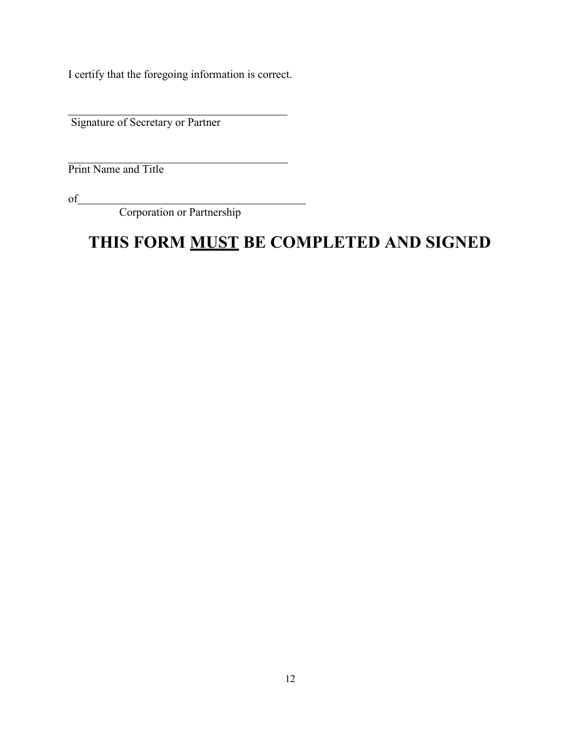I certify that the foregoing information is correct.

Signature of Secretary or Partner

Print Name and Title

of

Corporation or Partnership

# **THIS FORM MUST BE COMPLETED AND SIGNED**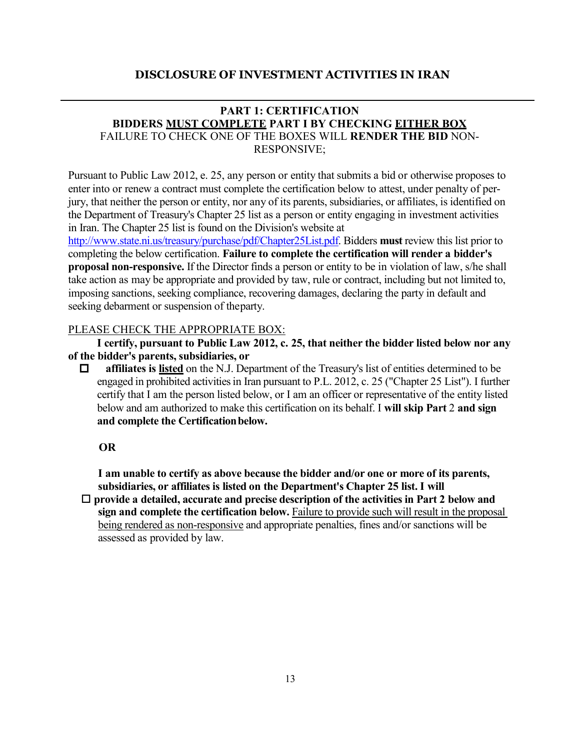#### **DISCLOSURE OF INVESTMENT ACTIVITIES IN IRAN**

#### **PART 1: CERTIFICATION BIDDERS MUST COMPLETE PART I BY CHECKING EITHER BOX** FAILURE TO CHECK ONE OF THE BOXES WILL **RENDER THE BID** NON-RESPONSIVE;

Pursuant to Public Law 2012, e. 25, any person or entity that submits a bid or otherwise proposes to enter into or renew a contract must complete the certification below to attest, under penalty of perjury, that neither the person or entity, nor any of its parents, subsidiaries, or affiliates, is identified on the Department of Treasury's Chapter 25 list as a person or entity engaging in investment activities in Iran. The Chapter 25 list is found on the Division's website at

[http://www.state.ni.us/treasury/purchase/pdf/Chapter25List.pdf.](http://www.state.ni.us/treasury/purchase/pdf/Chapter25List.pdf) Bidders **must** review this list prior to completing the below certification. **Failure to complete the certification will render a bidder's proposal non-responsive.** If the Director finds a person or entity to be in violation of law, s/he shall take action as may be appropriate and provided by taw, rule or contract, including but not limited to, imposing sanctions, seeking compliance, recovering damages, declaring the party in default and seeking debarment or suspension of theparty.

#### PLEASE CHECK THE APPROPRIATE BOX:

**I certify, pursuant to Public Law 2012, c. 25, that neither the bidder listed below nor any of the bidder's parents, subsidiaries, or**

 $\Box$  affiliates is listed on the N.J. Department of the Treasury's list of entities determined to be engaged in prohibited activities in Iran pursuant to P.L. 2012, c. 25 ("Chapter 25 List"). I further certify that I am the person listed below, or I am an officer or representative of the entity listed below and am authorized to make this certification on its behalf. I **will skip Part** 2 **and sign and complete the Certificationbelow.**

#### **OR**

**I am unable to certify as above because the bidder and/or one or more of its parents, subsidiaries, or affiliates is listed on the Department's Chapter 25 list. I will**

□ provide a detailed, accurate and precise description of the activities in Part 2 below and **sign and complete the certification below.** Failure to provide such will result in the proposal being rendered as non-responsive and appropriate penalties, fines and/or sanctions will be assessed as provided by law.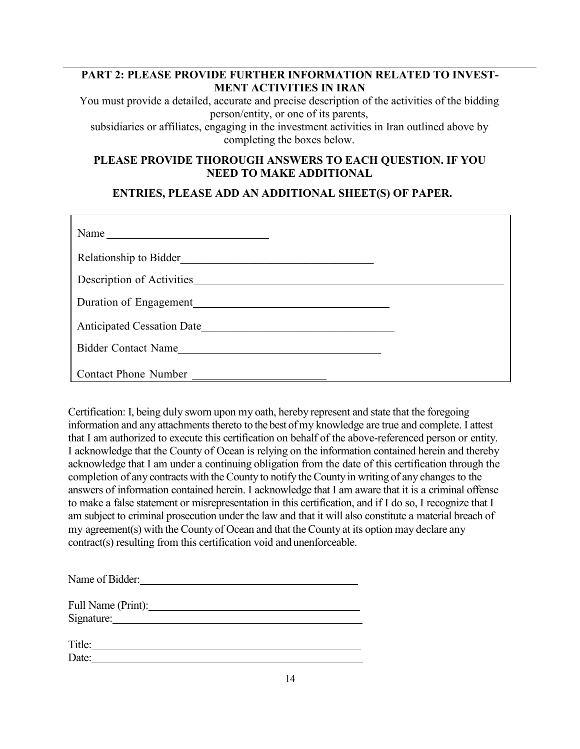## **PART 2: PLEASE PROVIDE FURTHER INFORMATION RELATED TO INVEST-MENT ACTIVITIES IN IRAN**

You must provide a detailed, accurate and precise description of the activities of the bidding person/entity, or one of its parents,

subsidiaries or affiliates, engaging in the investment activities in Iran outlined above by completing the boxes below.

#### **PLEASE PROVIDE THOROUGH ANSWERS TO EACH QUESTION. IF YOU NEED TO MAKE ADDITIONAL**

**ENTRIES, PLEASE ADD AN ADDITIONAL SHEET(S) OF PAPER.**

| Name                              |  |
|-----------------------------------|--|
| Relationship to Bidder            |  |
| Description of Activities         |  |
| Duration of Engagement            |  |
| <b>Anticipated Cessation Date</b> |  |
| <b>Bidder Contact Name</b>        |  |
| <b>Contact Phone Number</b>       |  |

Certification: I, being duly sworn upon my oath, hereby represent and state that the foregoing information and any attachments thereto to the best of my knowledge are true and complete. I attest that I am authorized to execute this certification on behalf of the above-referenced person or entity. I acknowledge that the County of Ocean is relying on the information contained herein and thereby acknowledge that I am under a continuing obligation from the date of this certification through the completion of any contracts with the County to notify the County in writing of any changes to the answers of information contained herein. I acknowledge that I am aware that it is a criminal offense to make a false statement or misrepresentation in this certification, and if I do so, I recognize that I am subject to criminal prosecution under the law and that it will also constitute a material breach of my agreement(s) with the County of Ocean and that the County at its option may declare any contract(s) resulting from this certification void and unenforceable.

| Name of Bidder: |  |  |
|-----------------|--|--|
|                 |  |  |

| Full Name (Print): |  |
|--------------------|--|
| Signature:         |  |

Title: The contract of the contract of the contract of the contract of the contract of the contract of the contract of the contract of the contract of the contract of the contract of the contract of the contract of the con Date: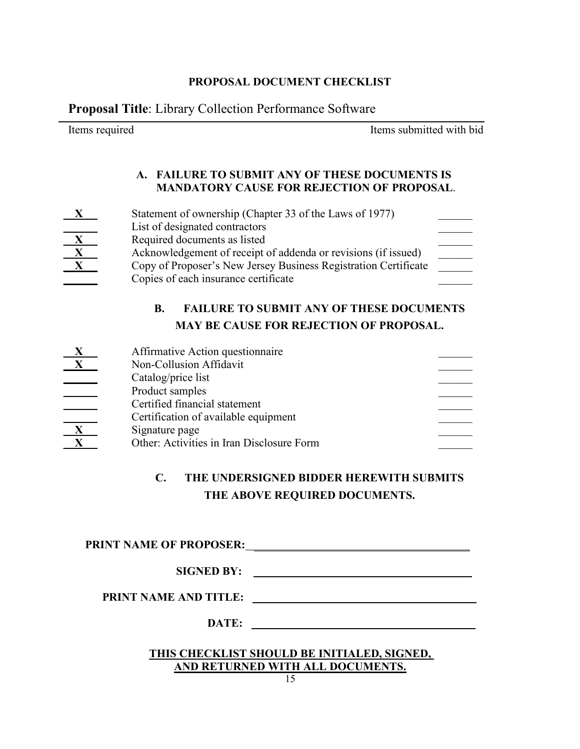#### **PROPOSAL DOCUMENT CHECKLIST**

**Proposal Title**: Library Collection Performance Software

Items required Items submitted with bid

#### **A. FAILURE TO SUBMIT ANY OF THESE DOCUMENTS IS MANDATORY CAUSE FOR REJECTION OF PROPOSAL**.

| X                      | Statement of ownership (Chapter 33 of the Laws of 1977)         |  |
|------------------------|-----------------------------------------------------------------|--|
|                        | List of designated contractors                                  |  |
|                        | Required documents as listed                                    |  |
| $\boldsymbol{\Lambda}$ | Acknowledgement of receipt of addenda or revisions (if issued)  |  |
| X                      | Copy of Proposer's New Jersey Business Registration Certificate |  |
|                        | Copies of each insurance certificate                            |  |

## **B. FAILURE TO SUBMIT ANY OF THESE DOCUMENTS MAY BE CAUSE FOR REJECTION OF PROPOSAL.**

| Affirmative Action questionnaire          |  |
|-------------------------------------------|--|
| Non-Collusion Affidavit                   |  |
| Catalog/price list                        |  |
| Product samples                           |  |
| Certified financial statement             |  |
| Certification of available equipment      |  |
| Signature page                            |  |
| Other: Activities in Iran Disclosure Form |  |
|                                           |  |

## **C. THE UNDERSIGNED BIDDER HEREWITH SUBMITS THE ABOVE REQUIRED DOCUMENTS.**

#### **PRINT NAME OF PROPOSER:**

**PRINT NAME AND TITLE:**  $\qquad$ 

**DATE:** 

#### **THIS CHECKLIST SHOULD BE INITIALED, SIGNED, AND RETURNED WITH ALL DOCUMENTS.**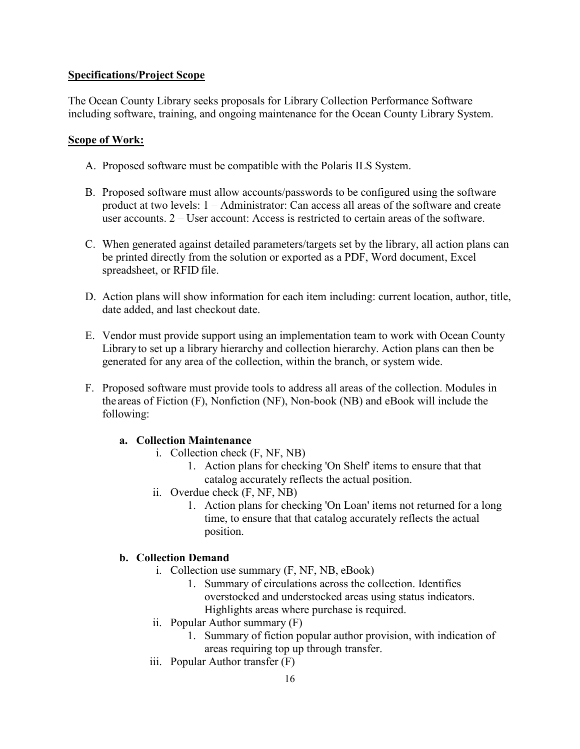#### **Specifications/Project Scope**

The Ocean County Library seeks proposals for Library Collection Performance Software including software, training, and ongoing maintenance for the Ocean County Library System.

#### **Scope of Work:**

- A. Proposed software must be compatible with the Polaris ILS System.
- B. Proposed software must allow accounts/passwords to be configured using the software product at two levels: 1 – Administrator: Can access all areas of the software and create user accounts. 2 – User account: Access is restricted to certain areas of the software.
- C. When generated against detailed parameters/targets set by the library, all action plans can be printed directly from the solution or exported as a PDF, Word document, Excel spreadsheet, or RFID file.
- D. Action plans will show information for each item including: current location, author, title, date added, and last checkout date.
- E. Vendor must provide support using an implementation team to work with Ocean County Library to set up a library hierarchy and collection hierarchy. Action plans can then be generated for any area of the collection, within the branch, or system wide.
- F. Proposed software must provide tools to address all areas of the collection. Modules in the areas of Fiction (F), Nonfiction (NF), Non-book (NB) and eBook will include the following:

#### **a. Collection Maintenance**

- i. Collection check (F, NF, NB)
	- 1. Action plans for checking 'On Shelf' items to ensure that that catalog accurately reflects the actual position.
- ii. Overdue check (F, NF, NB)
	- 1. Action plans for checking 'On Loan' items not returned for a long time, to ensure that that catalog accurately reflects the actual position.

#### **b. Collection Demand**

- i. Collection use summary (F, NF, NB, eBook)
	- 1. Summary of circulations across the collection. Identifies overstocked and understocked areas using status indicators. Highlights areas where purchase is required.
- ii. Popular Author summary (F)
	- 1. Summary of fiction popular author provision, with indication of areas requiring top up through transfer.
- iii. Popular Author transfer (F)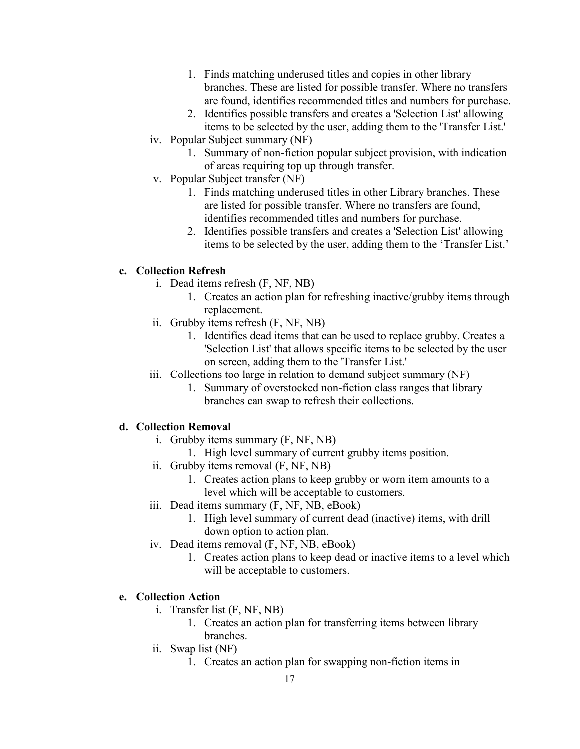- 1. Finds matching underused titles and copies in other library branches. These are listed for possible transfer. Where no transfers are found, identifies recommended titles and numbers for purchase.
- 2. Identifies possible transfers and creates a 'Selection List' allowing items to be selected by the user, adding them to the 'Transfer List.'
- iv. Popular Subject summary (NF)
	- 1. Summary of non-fiction popular subject provision, with indication of areas requiring top up through transfer.
- v. Popular Subject transfer (NF)
	- 1. Finds matching underused titles in other Library branches. These are listed for possible transfer. Where no transfers are found, identifies recommended titles and numbers for purchase.
	- 2. Identifies possible transfers and creates a 'Selection List' allowing items to be selected by the user, adding them to the 'Transfer List.'

### **c. Collection Refresh**

- i. Dead items refresh (F, NF, NB)
	- 1. Creates an action plan for refreshing inactive/grubby items through replacement.
- ii. Grubby items refresh (F, NF, NB)
	- 1. Identifies dead items that can be used to replace grubby. Creates a 'Selection List' that allows specific items to be selected by the user on screen, adding them to the 'Transfer List.'
- iii. Collections too large in relation to demand subject summary (NF)
	- 1. Summary of overstocked non-fiction class ranges that library branches can swap to refresh their collections.

### **d. Collection Removal**

- i. Grubby items summary (F, NF, NB)
	- 1. High level summary of current grubby items position.
- ii. Grubby items removal (F, NF, NB)
	- 1. Creates action plans to keep grubby or worn item amounts to a level which will be acceptable to customers.
- iii. Dead items summary (F, NF, NB, eBook)
	- 1. High level summary of current dead (inactive) items, with drill down option to action plan.
- iv. Dead items removal (F, NF, NB, eBook)
	- 1. Creates action plans to keep dead or inactive items to a level which will be acceptable to customers.

### **e. Collection Action**

- i. Transfer list (F, NF, NB)
	- 1. Creates an action plan for transferring items between library branches.
- ii. Swap list (NF)
	- 1. Creates an action plan for swapping non-fiction items in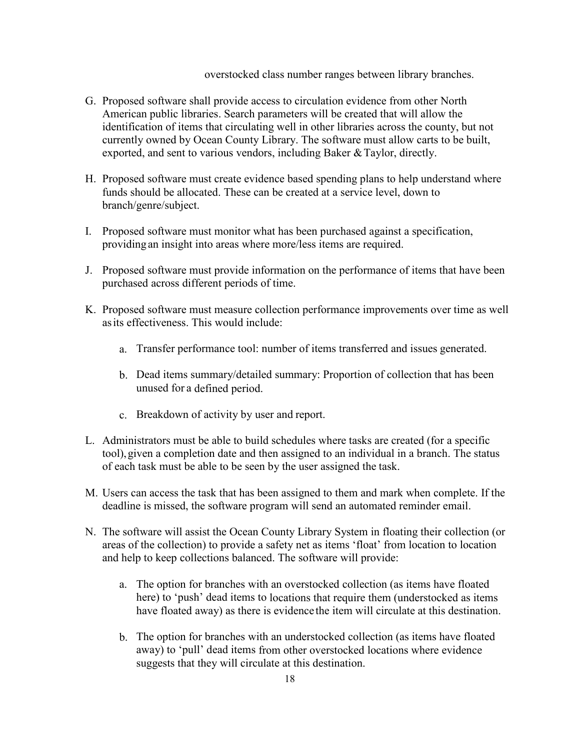overstocked class number ranges between library branches.

- G. Proposed software shall provide access to circulation evidence from other North American public libraries. Search parameters will be created that will allow the identification of items that circulating well in other libraries across the county, but not currently owned by Ocean County Library. The software must allow carts to be built, exported, and sent to various vendors, including Baker & Taylor, directly.
- H. Proposed software must create evidence based spending plans to help understand where funds should be allocated. These can be created at a service level, down to branch/genre/subject.
- I. Proposed software must monitor what has been purchased against a specification, providing an insight into areas where more/less items are required.
- J. Proposed software must provide information on the performance of items that have been purchased across different periods of time.
- K. Proposed software must measure collection performance improvements over time as well asits effectiveness. This would include:
	- a. Transfer performance tool: number of items transferred and issues generated.
	- b. Dead items summary/detailed summary: Proportion of collection that has been unused for a defined period.
	- c. Breakdown of activity by user and report.
- L. Administrators must be able to build schedules where tasks are created (for a specific tool),given a completion date and then assigned to an individual in a branch. The status of each task must be able to be seen by the user assigned the task.
- M. Users can access the task that has been assigned to them and mark when complete. If the deadline is missed, the software program will send an automated reminder email.
- N. The software will assist the Ocean County Library System in floating their collection (or areas of the collection) to provide a safety net as items 'float' from location to location and help to keep collections balanced. The software will provide:
	- a. The option for branches with an overstocked collection (as items have floated here) to 'push' dead items to locations that require them (understocked as items have floated away) as there is evidence the item will circulate at this destination.
	- b. The option for branches with an understocked collection (as items have floated away) to 'pull' dead items from other overstocked locations where evidence suggests that they will circulate at this destination.